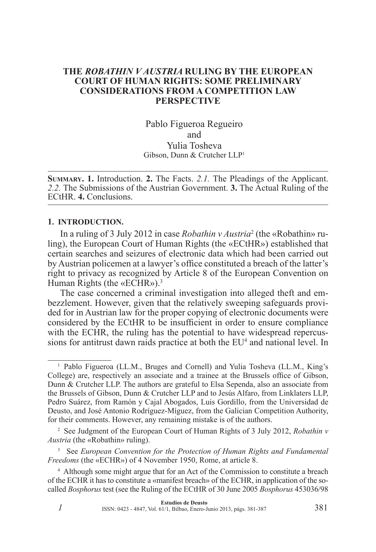### **The** *Robathin v Austria* **Ruling by the European Court of Human Rights: Some Preliminary Considerations from a Competition law Perspective**

Pablo Figueroa Regueiro and Yulia Tosheva Gibson, Dunn & Crutcher LLP1

**Summary. 1.** Introduction. **2.** The Facts. *2.1.* The Pleadings of the Applicant. *2.2.* The Submissions of the Austrian Government. **3.** The Actual Ruling of the ECtHR. **4.** Conclusions.

#### **1. Introduction.**

In a ruling of 3 July 2012 in case *Robathin v Austria*<sup>2</sup> (the «Robathin» ruling), the European Court of Human Rights (the «ECtHR») established that certain searches and seizures of electronic data which had been carried out by Austrian policemen at a lawyer's office constituted a breach of the latter's right to privacy as recognized by Article 8 of the European Convention on Human Rights (the «ECHR»).<sup>3</sup>

The case concerned a criminal investigation into alleged theft and embezzlement. However, given that the relatively sweeping safeguards provided for in Austrian law for the proper copying of electronic documents were considered by the ECtHR to be insufficient in order to ensure compliance with the ECHR, the ruling has the potential to have widespread repercussions for antitrust dawn raids practice at both the EU<sup>4</sup> and national level. In

<sup>&</sup>lt;sup>1</sup> Pablo Figueroa (LL.M., Bruges and Cornell) and Yulia Tosheva (LL.M., King's College) are, respectively an associate and a trainee at the Brussels office of Gibson, Dunn & Crutcher LLP. The authors are grateful to Elsa Sependa, also an associate from the Brussels of Gibson, Dunn & Crutcher LLP and to Jesús Alfaro, from Linklaters LLP, Pedro Suárez, from Ramón y Cajal Abogados, Luis Gordillo, from the Universidad de Deusto, and José Antonio Rodríguez-Míguez, from the Galician Competition Authority, for their comments. However, any remaining mistake is of the authors.

<sup>2</sup> See Judgment of the European Court of Human Rights of 3 July 2012, *Robathin v Austria* (the «Robathin» ruling).

<sup>3</sup> See *European Convention for the Protection of Human Rights and Fundamental Freedoms* (the «ECHR») of 4 November 1950, Rome, at article 8.

<sup>4</sup> Although some might argue that for an Act of the Commission to constitute a breach of the ECHR it has to constitute a «manifest breach» of the ECHR, in application of the socalled *Bosphorus* test (see the Ruling of the ECtHR of 30 June 2005 *Bosphorus* 453036/98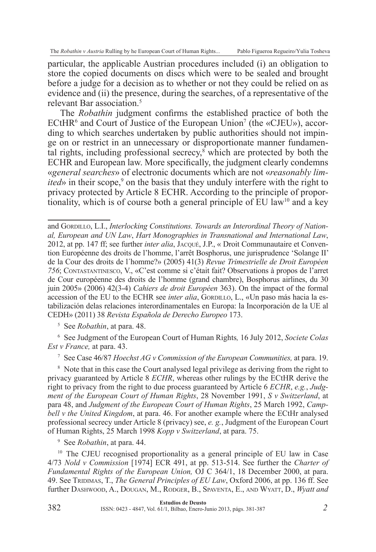particular, the applicable Austrian procedures included (i) an obligation to store the copied documents on discs which were to be sealed and brought before a judge for a decision as to whether or not they could be relied on as evidence and (ii) the presence, during the searches, of a representative of the relevant Bar association. $5$ 

The *Robathin* judgment confirms the established practice of both the ECtHR<sup>6</sup> and Court of Justice of the European Union<sup>7</sup> (the «CJEU»), according to which searches undertaken by public authorities should not impinge on or restrict in an unnecessary or disproportionate manner fundamental rights, including professional secrecy,<sup>8</sup> which are protected by both the ECHR and European law. More specifically, the judgment clearly condemns «*general searches*» of electronic documents which are not «*reasonably limited*» in their scope,<sup>9</sup> on the basis that they unduly interfere with the right to privacy protected by Article 8 ECHR. According to the principle of proportionality, which is of course both a general principle of  $\text{EU}$  law<sup>10</sup> and a key

<sup>5</sup> See *Robathin*, at para. 48.

<sup>6</sup> See Judgment of the European Court of Human Rights*,* 16 July 2012, *Societe Colas Est v France,* at para. 43.

<sup>7</sup> See Case 46/87 *Hoechst AG v Commission of the European Communities,* at para. 19.

<sup>8</sup> Note that in this case the Court analysed legal privilege as deriving from the right to privacy guaranteed by Article 8 *ECHR*, whereas other rulings by the ECtHR derive the right to privacy from the right to due process guaranteed by Article 6 *ECHR*, *e.g.*, *Judgment of the European Court of Human Rights*, 28 November 1991, *S v Switzerland*, at para 48, and *Judgment of the European Court of Human Rights*, 25 March 1992, *Campbell v the United Kingdom*, at para. 46. For another example where the ECtHr analysed professional secrecy under Article 8 (privacy) see, *e. g.*, Judgment of the European Court of Human Rights, 25 March 1998 *Kopp v Switzerland*, at para. 75.

<sup>9</sup> See *Robathin*, at para. 44.

<sup>10</sup> The CJEU recognised proportionality as a general principle of EU law in Case 4/73 *Nold v Commission* [1974] ECR 491, at pp. 513-514. See further the *Charter of Fundamental Rights of the European Union,* OJ C 364/1, 18 December 2000, at para. 49. See Tridimas, T., *The General Principles of EU Law*, Oxford 2006, at pp. 136 ff. See further Dashwood, A., Dougan, M., Rodger, B., Spaventa, E., and Wyatt, D., *Wyatt and* 

and GORDILLO, L.I., *Interlocking Constitutions. Towards an Interordinal Theory of National, European and UN Law*, *Hart Monographies in Transnational and International Law*, 2012, at pp. 147 ff; see further *inter alia*, Jacqué, J.P., « Droit Communautaire et Convention Européenne des droits de l'homme, l'arrêt Bosphorus, une jurisprudence 'Solange II' de la Cour des droits de l´homme?» (2005) 41(3) *Revue Trimestrielle de Droit Européen 756*; Contastantinesco, V., «C'est comme si c'était fait? Observations à propos de l'arret de Cour européenne des droits de l'homme (grand chambre), Bosphorus airlines, du 30 juin 2005» (2006) 42(3-4) *Cahiers de droit Européen* 363). On the impact of the formal accession of the EU to the ECHR see *inter alia*, Gordillo, L., «Un paso más hacia la estabilización delas relaciones interordinamentales en Europa: la Incorporación de la UE al CEDH» (2011) 38 *Revista Española de Derecho Europeo* 173.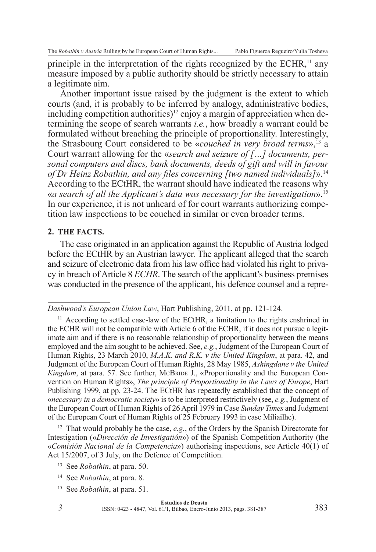principle in the interpretation of the rights recognized by the ECHR,<sup>11</sup> any measure imposed by a public authority should be strictly necessary to attain a legitimate aim.

Another important issue raised by the judgment is the extent to which courts (and, it is probably to be inferred by analogy, administrative bodies, including competition authorities)<sup>12</sup> enjoy a margin of appreciation when determining the scope of search warrants *i.e.*, how broadly a warrant could be formulated without breaching the principle of proportionality. Interestingly, the Strasbourg Court considered to be «*couched in very broad terms*»,13 a Court warrant allowing for the «*search and seizure of […] documents, personal computers and discs, bank documents, deeds of gift and will in favour of Dr Heinz Robathin, and any files concerning [two named individuals]*».14 According to the ECtHR, the warrant should have indicated the reasons why «*a search of all the Applicant's data was necessary for the investigation*».15 In our experience, it is not unheard of for court warrants authorizing competition law inspections to be couched in similar or even broader terms.

#### **2. The Facts.**

The case originated in an application against the Republic of Austria lodged before the ECtHR by an Austrian lawyer. The applicant alleged that the search and seizure of electronic data from his law office had violated his right to privacy in breach of Article 8 *ECHR*. The search of the applicant's business premises was conducted in the presence of the applicant, his defence counsel and a repre-

<sup>12</sup> That would probably be the case, *e.g.*, of the Orders by the Spanish Directorate for Intestigation («*Dirección de Investigatión*») of the Spanish Competition Authority (the «*Comisión Nacional de la Competencia*») authorising inspections, see Article 40(1) of Act 15/2007, of 3 July, on the Defence of Competition.

<sup>15</sup> See *Robathin*, at para. 51.

*3*

*Dashwood's European Union Law*, Hart Publishing, 2011, at pp. 121-124.

<sup>&</sup>lt;sup>11</sup> According to settled case-law of the ECtHR, a limitation to the rights enshrined in the ECHR will not be compatible with Article 6 of the ECHR, if it does not pursue a legitimate aim and if there is no reasonable relationship of proportionality between the means employed and the aim sought to be achieved. See, *e.g.*, Judgment of the European Court of Human Rights, 23 March 2010, *M.A.K. and R.K. v the United Kingdom*, at para. 42, and Judgment of the European Court of Human Rights, 28 May 1985, *Ashingdane v the United Kingdom*, at para. 57. See further, McBRIDE J., «Proportionality and the European Convention on Human Rights», *The principle of Proportionality in the Laws of Europe*, Hart Publishing 1999, at pp. 23-24. The ECtHR has repeatedly established that the concept of «*necessary in a democratic society*» is to be interpreted restrictively (see, *e.g.*, Judgment of the European Court of Human Rights of 26 April 1979 in Case *Sunday Times* and Judgment of the European Court of Human Rights of 25 February 1993 in case Miliailhe).

<sup>13</sup> See *Robathin*, at para. 50.

<sup>14</sup> See *Robathin*, at para. 8.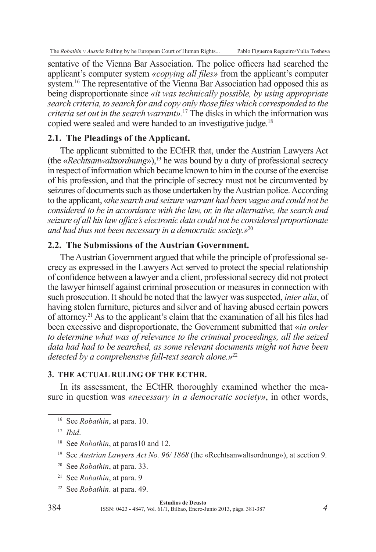sentative of the Vienna Bar Association. The police officers had searched the applicant's computer system *«copying all files»* from the applicant's computer system*.* 16 The representative of the Vienna Bar Association had opposed this as being disproportionate since *«it was technically possible, by using appropriate search criteria, to search for and copy only those files which corresponded to the criteria set out in the search warrant».*<sup>17</sup> The disks in which the information was copied were sealed and were handed to an investigative judge.<sup>18</sup>

# **2.1. The Pleadings of the Applicant.**

The applicant submitted to the ECtHR that, under the Austrian Lawyers Act (the «*Rechtsanwaltsordnung*»),<sup>19</sup> he was bound by a duty of professional secrecy in respect of information which became known to him in the course of the exercise of his profession, and that the principle of secrecy must not be circumvented by seizures of documents such as those undertaken by the Austrian police. According to the applicant, «*the search and seizure warrant had been vague and could not be considered to be in accordance with the law, or, in the alternative, the search and seizure of all his law office's electronic data could not be considered proportionate and had thus not been necessary in a democratic society.»*<sup>20</sup>

## **2.2. The Submissions of the Austrian Government.**

The Austrian Government argued that while the principle of professional secrecy as expressed in the Lawyers Act served to protect the special relationship of confidence between a lawyer and a client, professional secrecy did not protect the lawyer himself against criminal prosecution or measures in connection with such prosecution. It should be noted that the lawyer was suspected, *inter alia*, of having stolen furniture, pictures and silver and of having abused certain powers of attorney.21 As to the applicant's claim that the examination of all his files had been excessive and disproportionate, the Government submitted that «*in order to determine what was of relevance to the criminal proceedings, all the seized data had had to be searched, as some relevant documents might not have been detected by a comprehensive full-text search alone.»*<sup>22</sup>

## **3. The Actual Ruling of the ECtHR.**

In its assessment, the ECtHR thoroughly examined whether the measure in question was *«necessary in a democratic society»*, in other words,

<sup>16</sup> See *Robathin*, at para. 10.

- <sup>18</sup> See *Robathin*, at paras10 and 12.
- <sup>19</sup> See *Austrian Lawyers Act No. 96/ 1868* (the «Rechtsanwaltsordnung»), at section 9.
- <sup>20</sup> See *Robathin*, at para. 33.
- <sup>21</sup> See *Robathin*, at para. 9
- <sup>22</sup> See *Robathin*. at para. 49.

#### **Estudios de Deusto**

ISSN: 0423 - 4847, Vol. 61/1, Bilbao, Enero-Junio 2013, págs. 381-387

<sup>17</sup> *Ibid*.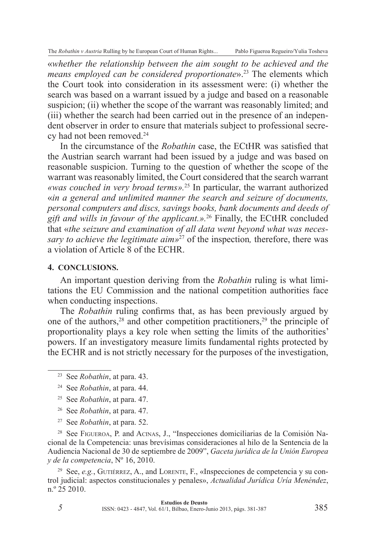«*whether the relationship between the aim sought to be achieved and the means employed can be considered proportionate*».23 The elements which the Court took into consideration in its assessment were: (i) whether the search was based on a warrant issued by a judge and based on a reasonable suspicion; (ii) whether the scope of the warrant was reasonably limited; and (iii) whether the search had been carried out in the presence of an independent observer in order to ensure that materials subject to professional secrecy had not been removed.<sup>24</sup>

In the circumstance of the *Robathin* case, the ECtHR was satisfied that the Austrian search warrant had been issued by a judge and was based on reasonable suspicion. Turning to the question of whether the scope of the warrant was reasonably limited, the Court considered that the search warrant *«was couched in very broad terms».*<sup>25</sup> In particular, the warrant authorized «*in a general and unlimited manner the search and seizure of documents, personal computers and discs, savings books, bank documents and deeds of gift and wills in favour of the applicant.».*26 Finally, the ECtHR concluded that «*the seizure and examination of all data went beyond what was necessary to achieve the legitimate aim*<sup>27</sup> of the inspection, therefore, there was a violation of Article 8 of the ECHR.

#### **4. Conclusions.**

An important question deriving from the *Robathin* ruling is what limitations the EU Commission and the national competition authorities face when conducting inspections.

The *Robathin* ruling confirms that, as has been previously argued by one of the authors,  $28$  and other competition practitioners,  $29$  the principle of proportionality plays a key role when setting the limits of the authorities' powers. If an investigatory measure limits fundamental rights protected by the ECHR and is not strictly necessary for the purposes of the investigation,

- <sup>25</sup> See *Robathin*, at para. 47.
- <sup>26</sup> See *Robathin*, at para. 47.
- <sup>27</sup> See *Robathin*, at para. 52.

*5*

<sup>28</sup> See Figueroa, P. and Acinas, J., "Inspecciones domiciliarias de la Comisión Nacional de la Competencia: unas brevísimas consideraciones al hilo de la Sentencia de la Audiencia Nacional de 30 de septiembre de 2009", *Gaceta jurídica de la Unión Europea y de la competencia*, Nº 16, 2010.

<sup>29</sup> See, *e.g.*, GUTIÉRREZ, A., and LORENTE, F., «Inspecciones de competencia y su control judicial: aspectos constitucionales y penales», *Actualidad Jurídica Uría Menéndez*, n.º 25 2010.

<sup>23</sup> See *Robathin*, at para. 43.

<sup>24</sup> See *Robathin*, at para. 44.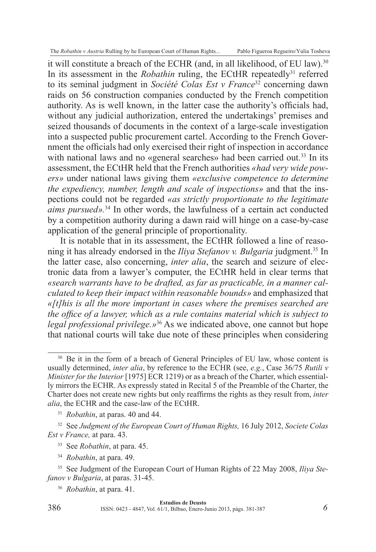it will constitute a breach of the ECHR (and, in all likelihood, of EU law).30 In its assessment in the *Robathin* ruling, the ECtHR repeatedly<sup>31</sup> referred to its seminal judgment in *Société Colas Est v France*32 concerning dawn raids on 56 construction companies conducted by the French competition authority. As is well known, in the latter case the authority's officials had, without any judicial authorization, entered the undertakings' premises and seized thousands of documents in the context of a large-scale investigation into a suspected public procurement cartel. According to the French Government the officials had only exercised their right of inspection in accordance with national laws and no «general searches» had been carried out.<sup>33</sup> In its assessment, the ECtHR held that the French authorities *«had very wide powers»* under national laws giving them *«exclusive competence to determine the expediency, number, length and scale of inspections»* and that the inspections could not be regarded *«as strictly proportionate to the legitimate aims pursued».*34 In other words, the lawfulness of a certain act conducted by a competition authority during a dawn raid will hinge on a case-by-case application of the general principle of proportionality.

It is notable that in its assessment, the ECtHR followed a line of reasoning it has already endorsed in the *Iliya Stefanov v. Bulgaria* judgment.35 In the latter case, also concerning, *inter alia*, the search and seizure of electronic data from a lawyer's computer, the ECtHR held in clear terms that *«search warrants have to be drafted, as far as practicable, in a manner calculated to keep their impact within reasonable bounds»* and emphasized that *«[t]his is all the more important in cases where the premises searched are the office of a lawyer, which as a rule contains material which is subject to legal professional privilege.»*36 As we indicated above, one cannot but hope that national courts will take due note of these principles when considering

<sup>&</sup>lt;sup>30</sup> Be it in the form of a breach of General Principles of EU law, whose content is usually determined, *inter alia*, by reference to the ECHR (see, *e.g.*, Case 36/75 *Rutili v Minister for the Interior* [1975] ECR 1219) or as a breach of the Charter, which essentially mirrors the ECHR. As expressly stated in Recital 5 of the Preamble of the Charter, the Charter does not create new rights but only reaffirms the rights as they result from, *inter alia*, the ECHR and the case-law of the ECtHR.

<sup>31</sup> *Robathin*, at paras. 40 and 44.

<sup>32</sup> See *Judgment of the European Court of Human Rights,* 16 July 2012, *Societe Colas Est v France,* at para. 43.

<sup>33</sup> See *Robathin*, at para. 45.

<sup>34</sup> *Robathin*, at para. 49.

<sup>35</sup> See Judgment of the European Court of Human Rights of 22 May 2008, *Iliya Stefanov v Bulgaria*, at paras. 31-45.

<sup>36</sup> *Robathin*, at para. 41.